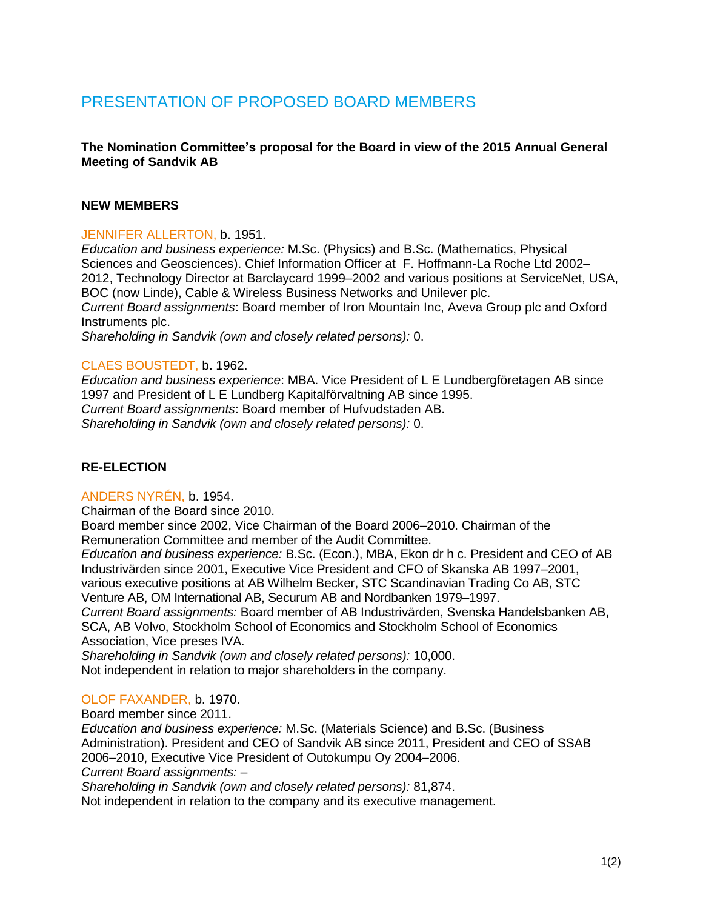# PRESENTATION OF PROPOSED BOARD MEMBERS

## **The Nomination Committee's proposal for the Board in view of the 2015 Annual General Meeting of Sandvik AB**

## **NEW MEMBERS**

## JENNIFER ALLERTON, b. 1951.

*Education and business experience:* M.Sc. (Physics) and B.Sc. (Mathematics, Physical Sciences and Geosciences). Chief Information Officer at F. Hoffmann-La Roche Ltd 2002– 2012, Technology Director at Barclaycard 1999–2002 and various positions at ServiceNet, USA, BOC (now Linde), Cable & Wireless Business Networks and Unilever plc. *Current Board assignments*: Board member of Iron Mountain Inc, Aveva Group plc and Oxford Instruments plc.

*Shareholding in Sandvik (own and closely related persons):* 0.

## CLAES BOUSTEDT, b. 1962.

*Education and business experience*: MBA. Vice President of L E Lundbergföretagen AB since 1997 and President of L E Lundberg Kapitalförvaltning AB since 1995. *Current Board assignments*: Board member of Hufvudstaden AB. *Shareholding in Sandvik (own and closely related persons):* 0.

## **RE-ELECTION**

## ANDERS NYRÉN, b. 1954.

Chairman of the Board since 2010.

Board member since 2002, Vice Chairman of the Board 2006–2010. Chairman of the Remuneration Committee and member of the Audit Committee.

*Education and business experience:* B.Sc. (Econ.), MBA, Ekon dr h c. President and CEO of AB Industrivärden since 2001, Executive Vice President and CFO of Skanska AB 1997–2001, various executive positions at AB Wilhelm Becker, STC Scandinavian Trading Co AB, STC Venture AB, OM International AB, Securum AB and Nordbanken 1979–1997.

*Current Board assignments:* Board member of AB Industrivärden, Svenska Handelsbanken AB, SCA, AB Volvo, Stockholm School of Economics and Stockholm School of Economics Association, Vice preses IVA.

*Shareholding in Sandvik (own and closely related persons):* 10,000. Not independent in relation to major shareholders in the company.

#### OLOF FAXANDER, b. 1970.

Board member since 2011.

*Education and business experience:* M.Sc. (Materials Science) and B.Sc. (Business Administration). President and CEO of Sandvik AB since 2011, President and CEO of SSAB 2006–2010, Executive Vice President of Outokumpu Oy 2004–2006.

*Current Board assignments:* –

*Shareholding in Sandvik (own and closely related persons):* 81,874.

Not independent in relation to the company and its executive management.